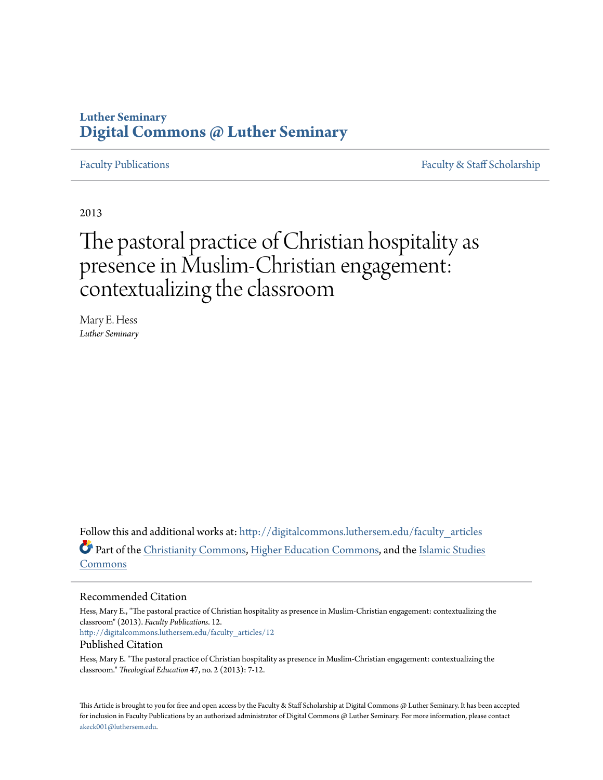## **Luther Seminary [Digital Commons @ Luther Seminary](http://digitalcommons.luthersem.edu?utm_source=digitalcommons.luthersem.edu%2Ffaculty_articles%2F12&utm_medium=PDF&utm_campaign=PDFCoverPages)**

[Faculty Publications](http://digitalcommons.luthersem.edu/faculty_articles?utm_source=digitalcommons.luthersem.edu%2Ffaculty_articles%2F12&utm_medium=PDF&utm_campaign=PDFCoverPages) [Faculty & Staff Scholarship](http://digitalcommons.luthersem.edu/faculty_staff?utm_source=digitalcommons.luthersem.edu%2Ffaculty_articles%2F12&utm_medium=PDF&utm_campaign=PDFCoverPages)

2013

# The pastoral practice of Christian hospitality as presence in Muslim-Christian engagement: contextualizing the classroom

Mary E. Hess *Luther Seminary*

Follow this and additional works at: [http://digitalcommons.luthersem.edu/faculty\\_articles](http://digitalcommons.luthersem.edu/faculty_articles?utm_source=digitalcommons.luthersem.edu%2Ffaculty_articles%2F12&utm_medium=PDF&utm_campaign=PDFCoverPages) Part of the [Christianity Commons,](http://network.bepress.com/hgg/discipline/1181?utm_source=digitalcommons.luthersem.edu%2Ffaculty_articles%2F12&utm_medium=PDF&utm_campaign=PDFCoverPages) [Higher Education Commons,](http://network.bepress.com/hgg/discipline/1245?utm_source=digitalcommons.luthersem.edu%2Ffaculty_articles%2F12&utm_medium=PDF&utm_campaign=PDFCoverPages) and the [Islamic Studies](http://network.bepress.com/hgg/discipline/1346?utm_source=digitalcommons.luthersem.edu%2Ffaculty_articles%2F12&utm_medium=PDF&utm_campaign=PDFCoverPages) [Commons](http://network.bepress.com/hgg/discipline/1346?utm_source=digitalcommons.luthersem.edu%2Ffaculty_articles%2F12&utm_medium=PDF&utm_campaign=PDFCoverPages)

## Recommended Citation

Hess, Mary E., "The pastoral practice of Christian hospitality as presence in Muslim-Christian engagement: contextualizing the classroom" (2013). *Faculty Publications*. 12. [http://digitalcommons.luthersem.edu/faculty\\_articles/12](http://digitalcommons.luthersem.edu/faculty_articles/12?utm_source=digitalcommons.luthersem.edu%2Ffaculty_articles%2F12&utm_medium=PDF&utm_campaign=PDFCoverPages) Published Citation

Hess, Mary E. "The pastoral practice of Christian hospitality as presence in Muslim-Christian engagement: contextualizing the classroom." *Theological Education* 47, no. 2 (2013): 7-12.

This Article is brought to you for free and open access by the Faculty & Staff Scholarship at Digital Commons @ Luther Seminary. It has been accepted for inclusion in Faculty Publications by an authorized administrator of Digital Commons @ Luther Seminary. For more information, please contact [akeck001@luthersem.edu.](mailto:akeck001@luthersem.edu)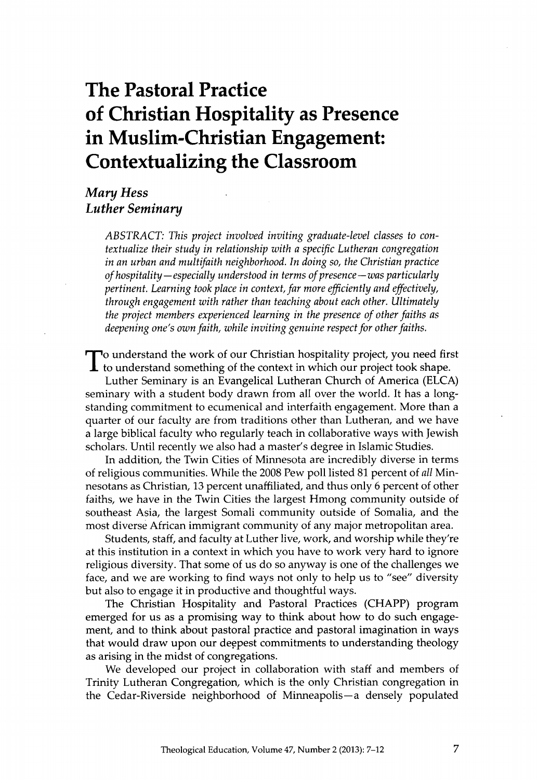## **The Pastoral Practice of Christian Hospitality as Presence in Muslim-Christian Engagement: Contextualizing the Classroom**

## *Mary Hess Luther Seminary*

*ABSTRACT: This project involved inviting graduate-level classes to contextualize their study in relationship with a specific Lutheran congregation in an urban and multifaith neighborhood. In doing so, the Christian practice of hospitality—especially understood in terms of presence—was particularly pertinent. Learning took place in context, far more efficiently and effectively, through engagement with rather than teaching about each other. Ultimately the project members experienced learning in the presence of other faiths as deepening one's own faith, while inviting genuine respect for other faiths.*

To understand the work of our Christian hospitality project, you need first to understand something of the context in which our project took shape. To understand the work of our Christian hospitality project, you need first

Luther Seminary is an Evangelical Lutheran Church of America (ELCA) seminary with a student body drawn from all over the world. It has a longstanding commitment to ecumenical and interfaith engagement. More than a quarter of our faculty are from traditions other than Lutheran, and we have a large biblical faculty who regularly teach in collaborative ways with Jewish scholars. Until recently we also had a master's degree in Islamic Studies.

In addition, the Twin Cities of Minnesota are incredibly diverse in terms of religious communities. While the 2008 Pew poll listed 81 percent of *all* Minnesotans as Christian, 13 percent unaffiliated, and thus only 6 percent of other faiths, we have in the Twin Cities the largest Hmong community outside of southeast Asia, the largest Somali community outside of Somalia, and the most diverse African immigrant community of any major metropolitan area.

Students, staff, and faculty at Luther live, work, and worship while they're at this institution in a context in which you have to work very hard to ignore religious diversity. That some of us do so anyway is one of the challenges we face, and we are working to find ways not only to help us to "see" diversity but also to engage it in productive and thoughtful ways.

The Christian Hospitality and Pastoral Practices (CHAPP) program emerged for us as a promising way to think about how to do such engagement, and to think about pastoral practice and pastoral imagination in ways that would draw upon our deepest commitments to understanding theology as arising in the midst of congregations.

We developed our project in collaboration with staff and members of Trinity Lutheran Congregation, which is the only Christian congregation in the Cedar-Riverside neighborhood of Minneapolis—a densely populated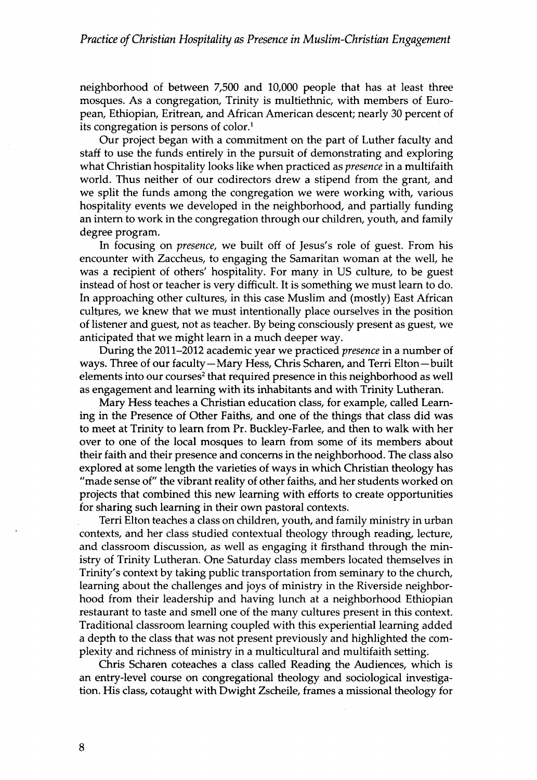neighborhood of between 7,500 and 10,000 people that has at least three mosques. As a congregation, Trinity is multiethnic, with members of European, Ethiopian, Eritrean, and African American descent; nearly 30 percent of its congregation is persons of color.<sup>1</sup>

Our project began with a commitment on the part of Luther faculty and staff to use the funds entirely in the pursuit of demonstrating and exploring what Christian hospitality looks like when practiced as *presence* in a multifaith world. Thus neither of our codirectors drew a stipend from the grant, and we split the funds among the congregation we were working with, various hospitality events we developed in the neighborhood, and partially funding an intern to work in the congregation through our children, youth, and family degree program.

In focusing on *presence,* we built off of Jesus's role of guest. From his encounter with Zaccheus, to engaging the Samaritan woman at the well, he was a recipient of others' hospitality. For many in US culture, to be guest instead of host or teacher is very difficult. It is something we must learn to do. In approaching other cultures, in this case Muslim and (mostly) East African cultures, we knew that we must intentionally place ourselves in the position of listener and guest, not as teacher. By being consciously present as guest, we anticipated that we might learn in a much deeper way.

During the 2011-2012 academic year we practiced *presence* in a number of ways. Three of our faculty—Mary Hess, Chris Scharen, and Terri Elton—built elements into our courses<sup>2</sup> that required presence in this neighborhood as well as engagement and learning with its inhabitants and with Trinity Lutheran.

Mary Hess teaches a Christian education class, for example, called Learning in the Presence of Other Faiths, and one of the things that class did was to meet at Trinity to learn from Pr. Buckley-Farlee, and then to walk with her over to one of the local mosques to learn from some of its members about their faith and their presence and concerns in the neighborhood. The class also explored at some length the varieties of ways in which Christian theology has "made sense of" the vibrant reality of other faiths, and her students worked on projects that combined this new learning with efforts to create opportunities for sharing such learning in their own pastoral contexts.

Terri Elton teaches a class on children, youth, and family ministry in urban contexts, and her class studied contextual theology through reading, lecture, and classroom discussion, as well as engaging it firsthand through the ministry of Trinity Lutheran. One Saturday class members located themselves in Trinity's context by taking public transportation from seminary to the church, learning about the challenges and joys of ministry in the Riverside neighborhood from their leadership and having lunch at a neighborhood Ethiopian restaurant to taste and smell one of the many cultures present in this context. Traditional classroom learning coupled with this experiential learning added a depth to the class that was not present previously and highlighted the complexity and richness of ministry in a multicultural and multifaith setting.

Chris Scharen coteaches a class called Reading the Audiences, which is an entry-level course on congregational theology and sociological investigation. His class, cotaught with Dwight Zscheile, frames a missional theology for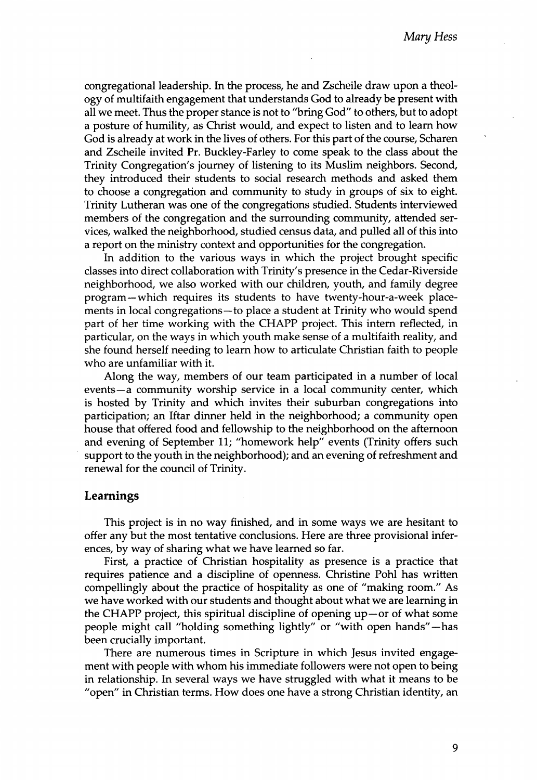congregational leadership. In the process, he and Zscheile draw upon a theology of multifaith engagement that understands God to already be present with all we meet. Thus the proper stance is not to "bring God" to others, but to adopt a posture of humility, as Christ would, and expect to listen and to learn how God is already at work in the lives of others. For this part of the course, Scharen and Zscheile invited Pr. Buckley-Farley to come speak to the class about the Trinity Congregation's journey of listening to its Muslim neighbors. Second, they introduced their students to social research methods and asked them to choose a congregation and community to study in groups of six to eight. Trinity Lutheran was one of the congregations studied. Students interviewed members of the congregation and the surrounding community, attended services, walked the neighborhood, studied census data, and pulled all of this into a report on the ministry context and opportunities for the congregation.

In addition to the various ways in which the project brought specific classes into direct collaboration with Trinity's presence in the Cedar-Riverside neighborhood, we also worked with our children, youth, and family degree program—which requires its students to have twenty-hour-a-week placements in local congregations-to place a student at Trinity who would spend part of her time working with the CHAPP project. This intern reflected, in particular, on the ways in which youth make sense of a multifaith reality, and she found herself needing to learn how to articulate Christian faith to people who are unfamiliar with it.

Along the way, members of our team participated in a number of local events—a community worship service in a local community center, which is hosted by Trinity and which invites their suburban congregations into participation; an Iftar dinner held in the neighborhood; a community open house that offered food and fellowship to the neighborhood on the afternoon and evening of September 11; "homework help" events (Trinity offers such support to the youth in the neighborhood); and an evening of refreshment and renewal for the council of Trinity.

#### **Learnings**

This project is in no way finished, and in some ways we are hesitant to offer any but the most tentative conclusions. Here are three provisional inferences, by way of sharing what we have learned so far.

First, a practice of Christian hospitality as presence is a practice that requires patience and a discipline of openness. Christine Pohl has written compellingly about the practice of hospitality as one of "making room." As we have worked with our students and thought about what we are learning in the CHAPP project, this spiritual discipline of opening  $up$  – or of what some people might call "holding something lightly" or "with open hands"—has been crucially important.

There are numerous times in Scripture in which Jesus invited engagement with people with whom his immediate followers were not open to being in relationship. In several ways we have struggled with what it means to be "open" in Christian terms. How does one have a strong Christian identity, an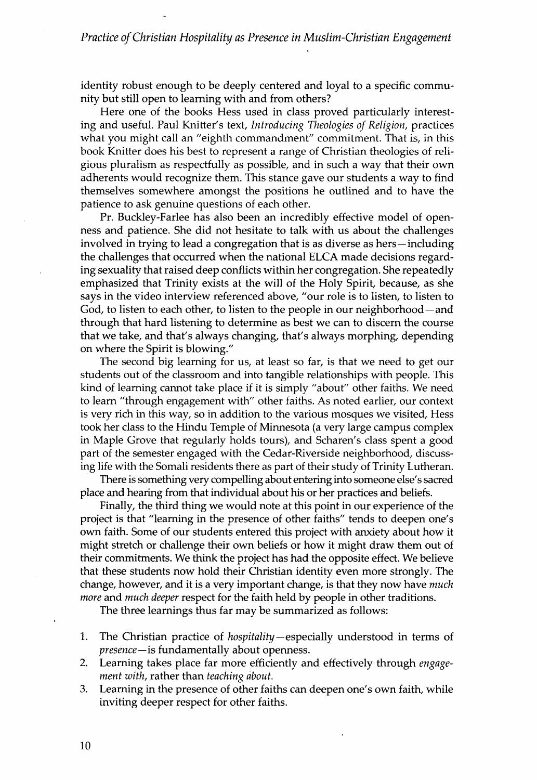identity robust enough to be deeply centered and loyal to a specific community but still open to learning with and from others?

Here one of the books Hess used in class proved particularly interesting and useful. Paul Knitter's text, *Introducing Theologies of Religion,* practices what you might call an "eighth commandment" commitment. That is, in this book Knitter does his best to represent a range of Christian theologies of religious pluralism as respectfully as possible, and in such a way that their own adherents would recognize them. This stance gave our students a way to find themselves somewhere amongst the positions he outlined and to have the patience to ask genuine questions of each other.

Pr. Buckley-Farlee has also been an incredibly effective model of openness and patience. She did not hesitate to talk with us about the challenges involved in trying to lead a congregation that is as diverse as hers—including the challenges that occurred when the national ELCA made decisions regarding sexuality that raised deep conflicts within her congregation. She repeatedly emphasized that Trinity exists at the will of the Holy Spirit, because, as she says in the video interview referenced above, "our role is to listen, to listen to God, to listen to each other, to listen to the people in our neighborhood—and through that hard listening to determine as best we can to discern the course that we take, and that's always changing, that's always morphing, depending on where the Spirit is blowing."

The second big learning for us, at least so far, is that we need to get our students out of the classroom and into tangible relationships with people. This kind of learning cannot take place if it is simply "about" other faiths. We need to learn "through engagement with" other faiths. As noted earlier, our context is very rich in this way, so in addition to the various mosques we visited, Hess took her class to the Hindu Temple of Minnesota (a very large campus complex in Maple Grove that regularly holds tours), and Scharen's class spent a good part of the semester engaged with the Cedar-Riverside neighborhood, discussing life with the Somali residents there as part of their study of Trinity Lutheran.

There is something very compelling about entering into someone else's sacred place and hearing from that individual about his or her practices and beliefs.

Finally, the third thing we would note at this point in our experience of the project is that "learning in the presence of other faiths" tends to deepen one's own faith. Some of our students entered this project with anxiety about how it might stretch or challenge their own beliefs or how it might draw them out of their commitments. We think the project has had the opposite effect. We believe that these students now hold their Christian identity even more strongly. The change, however, and it is a very important change, is that they now have *much more* and *much deeper* respect for the faith held by people in other traditions.

The three learnings thus far may be summarized as follows:

- 1. The Christian practice of *hospitality—*especially understood in terms of *presence—*is fundamentally about openness.
- 2. Learning takes place far more efficiently and effectively through *engagement with*, rather than *teaching about.*
- 3. Learning in the presence of other faiths can deepen one's own faith, while inviting deeper respect for other faiths.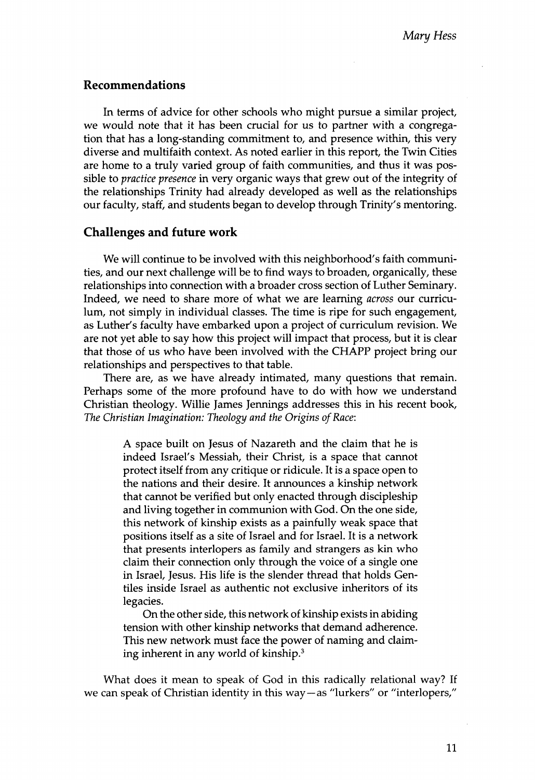## **Recommendations**

In terms of advice for other schools who might pursue a similar project, we would note that it has been crucial for us to partner with a congregation that has a long-standing commitment to, and presence within, this very diverse and multifaith context. As noted earlier in this report, the Twin Cities are home to a truly varied group of faith communities, and thus it was possible to *practice presence* in very organic ways that grew out of the integrity of the relationships Trinity had already developed as well as the relationships our faculty, staff, and students began to develop through Trinity's mentoring.

## **Challenges and future work**

We will continue to be involved with this neighborhood's faith communities, and our next challenge will be to find ways to broaden, organically, these relationships into connection with a broader cross section of Luther Seminary. Indeed, we need to share more of what we are learning *across* our curriculum, not simply in individual classes. The time is ripe for such engagement, as Luther's faculty have embarked upon a project of curriculum revision. We are not yet able to say how this project will impact that process, but it is clear that those of us who have been involved with the CHAPP project bring our relationships and perspectives to that table.

There are, as we have already intimated, many questions that remain. Perhaps some of the more profound have to do with how we understand Christian theology. Willie James Jennings addresses this in his recent book, *The Christian Imagination: Theology and the Origins of Race:*

> A space built on Jesus of Nazareth and the claim that he is indeed Israel's Messiah, their Christ, is a space that cannot protect itself from any critique or ridicule. It is a space open to the nations and their desire. It announces a kinship network that cannot be verified but only enacted through discipleship and living together in communion with God. On the one side, this network of kinship exists as a painfully weak space that positions itself as a site of Israel and for Israel. It is a network that presents interlopers as family and strangers as kin who claim their connection only through the voice of a single one in Israel, Jesus. His life is the slender thread that holds Gentiles inside Israel as authentic not exclusive inheritors of its legacies.

> On the other side, this network of kinship exists in abiding tension with other kinship networks that demand adherence. This new network must face the power of naming and claiming inherent in any world of kinship.3

What does it mean to speak of God in this radically relational way? If we can speak of Christian identity in this way—as "lurkers" or "interlopers,"